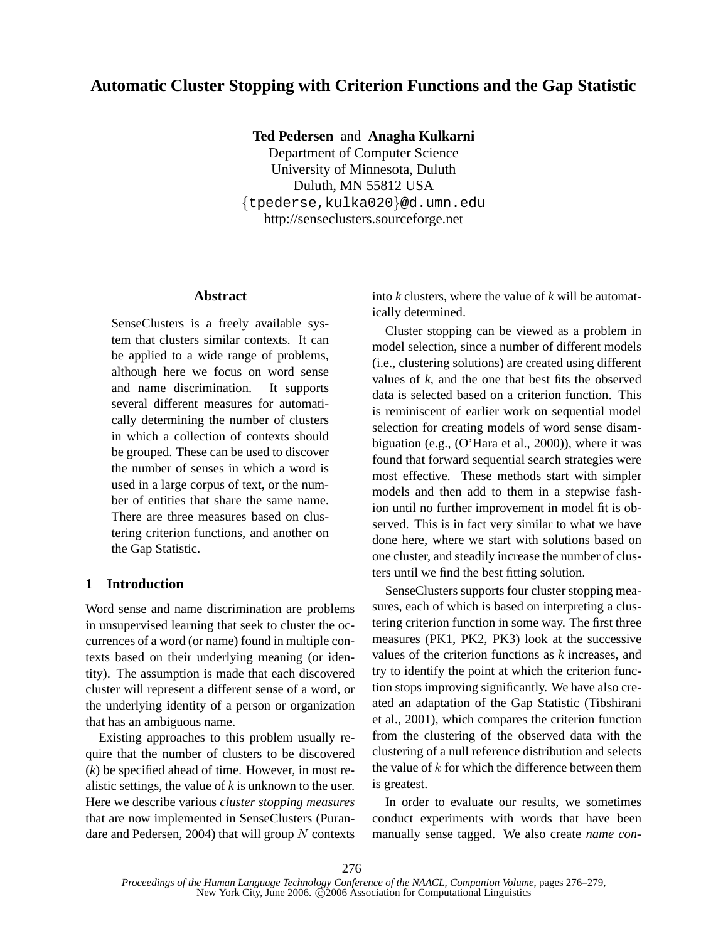# **Automatic Cluster Stopping with Criterion Functions and the Gap Statistic**

**Ted Pedersen** and **Anagha Kulkarni**

Department of Computer Science University of Minnesota, Duluth Duluth, MN 55812 USA {tpederse,kulka020}@d.umn.edu http://senseclusters.sourceforge.net

# **Abstract**

SenseClusters is a freely available system that clusters similar contexts. It can be applied to a wide range of problems, although here we focus on word sense and name discrimination. It supports several different measures for automatically determining the number of clusters in which a collection of contexts should be grouped. These can be used to discover the number of senses in which a word is used in a large corpus of text, or the number of entities that share the same name. There are three measures based on clustering criterion functions, and another on the Gap Statistic.

# **1 Introduction**

Word sense and name discrimination are problems in unsupervised learning that seek to cluster the occurrences of a word (or name) found in multiple contexts based on their underlying meaning (or identity). The assumption is made that each discovered cluster will represent a different sense of a word, or the underlying identity of a person or organization that has an ambiguous name.

Existing approaches to this problem usually require that the number of clusters to be discovered (*k*) be specified ahead of time. However, in most realistic settings, the value of *k* is unknown to the user. Here we describe various *cluster stopping measures* that are now implemented in SenseClusters (Purandare and Pedersen, 2004) that will group  $N$  contexts

into *k* clusters, where the value of *k* will be automatically determined.

Cluster stopping can be viewed as a problem in model selection, since a number of different models (i.e., clustering solutions) are created using different values of *k*, and the one that best fits the observed data is selected based on a criterion function. This is reminiscent of earlier work on sequential model selection for creating models of word sense disambiguation (e.g., (O'Hara et al., 2000)), where it was found that forward sequential search strategies were most effective. These methods start with simpler models and then add to them in a stepwise fashion until no further improvement in model fit is observed. This is in fact very similar to what we have done here, where we start with solutions based on one cluster, and steadily increase the number of clusters until we find the best fitting solution.

SenseClusters supports four cluster stopping measures, each of which is based on interpreting a clustering criterion function in some way. The first three measures (PK1, PK2, PK3) look at the successive values of the criterion functions as *k* increases, and try to identify the point at which the criterion function stops improving significantly. We have also created an adaptation of the Gap Statistic (Tibshirani et al., 2001), which compares the criterion function from the clustering of the observed data with the clustering of a null reference distribution and selects the value of  $k$  for which the difference between them is greatest.

In order to evaluate our results, we sometimes conduct experiments with words that have been manually sense tagged. We also create *name con-*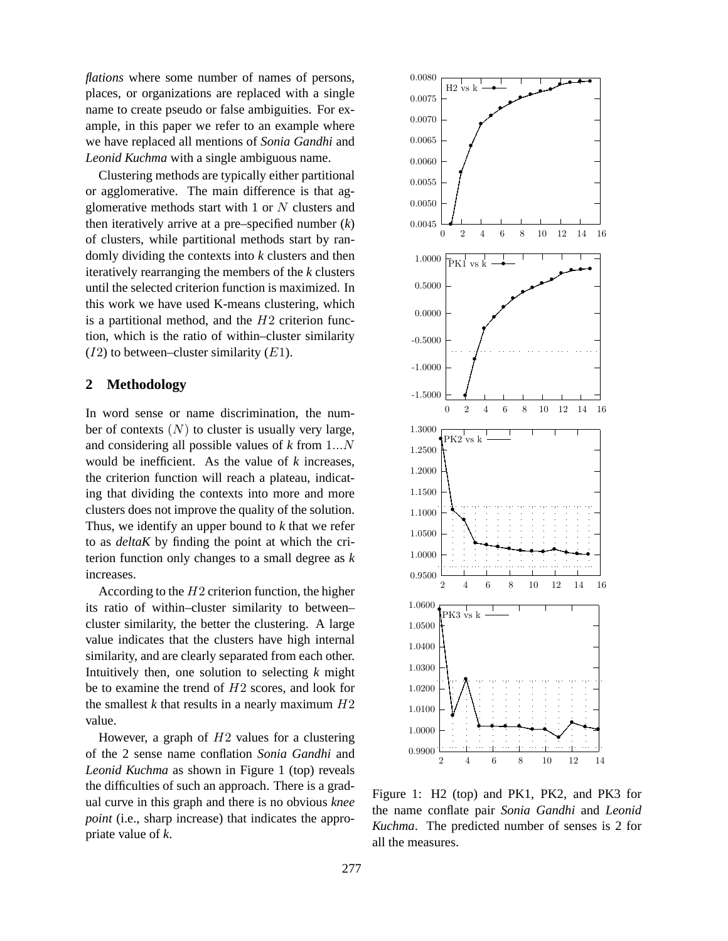*flations* where some number of names of persons, places, or organizations are replaced with a single name to create pseudo or false ambiguities. For example, in this paper we refer to an example where we have replaced all mentions of *Sonia Gandhi* and *Leonid Kuchma* with a single ambiguous name.

Clustering methods are typically either partitional or agglomerative. The main difference is that agglomerative methods start with 1 or  $N$  clusters and then iteratively arrive at a pre–specified number (*k*) of clusters, while partitional methods start by randomly dividing the contexts into *k* clusters and then iteratively rearranging the members of the *k* clusters until the selected criterion function is maximized. In this work we have used K-means clustering, which is a partitional method, and the  $H2$  criterion function, which is the ratio of within–cluster similarity  $(I2)$  to between–cluster similarity  $(E1)$ .

# **2 Methodology**

In word sense or name discrimination, the number of contexts  $(N)$  to cluster is usually very large, and considering all possible values of *k* from 1...N would be inefficient. As the value of *k* increases, the criterion function will reach a plateau, indicating that dividing the contexts into more and more clusters does not improve the quality of the solution. Thus, we identify an upper bound to *k* that we refer to as *deltaK* by finding the point at which the criterion function only changes to a small degree as *k* increases.

According to the  $H2$  criterion function, the higher its ratio of within–cluster similarity to between– cluster similarity, the better the clustering. A large value indicates that the clusters have high internal similarity, and are clearly separated from each other. Intuitively then, one solution to selecting *k* might be to examine the trend of H2 scores, and look for the smallest  $k$  that results in a nearly maximum  $H2$ value.

However, a graph of  $H2$  values for a clustering of the 2 sense name conflation *Sonia Gandhi* and *Leonid Kuchma* as shown in Figure 1 (top) reveals the difficulties of such an approach. There is a gradual curve in this graph and there is no obvious *knee point* (i.e., sharp increase) that indicates the appropriate value of *k*.



Figure 1: H2 (top) and PK1, PK2, and PK3 for the name conflate pair *Sonia Gandhi* and *Leonid Kuchma*. The predicted number of senses is 2 for all the measures.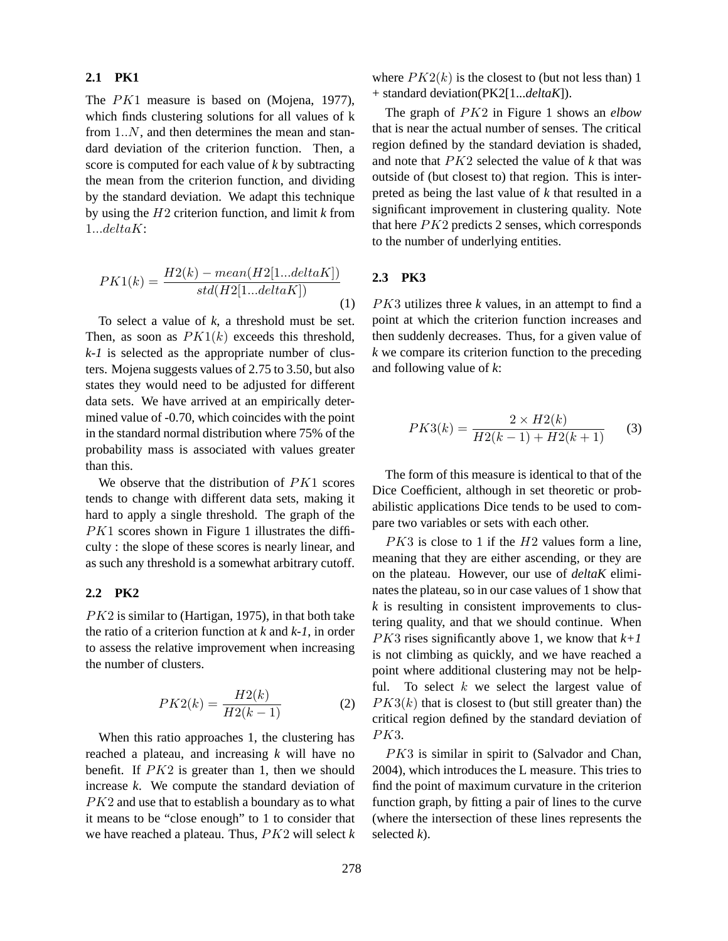# **2.1 PK1**

The *PK*1 measure is based on (Mojena, 1977), which finds clustering solutions for all values of k from 1..N, and then determines the mean and standard deviation of the criterion function. Then, a score is computed for each value of *k* by subtracting the mean from the criterion function, and dividing by the standard deviation. We adapt this technique by using the H2 criterion function, and limit *k* from 1...deltaK:

$$
PK1(k) = \frac{H2(k) - mean(H2[1...deltaK])}{std(H2[1...deltaK])}
$$
\n(1)

To select a value of *k*, a threshold must be set. Then, as soon as  $PK1(k)$  exceeds this threshold, *k-1* is selected as the appropriate number of clusters. Mojena suggests values of 2.75 to 3.50, but also states they would need to be adjusted for different data sets. We have arrived at an empirically determined value of -0.70, which coincides with the point in the standard normal distribution where 75% of the probability mass is associated with values greater than this.

We observe that the distribution of PK1 scores tends to change with different data sets, making it hard to apply a single threshold. The graph of the PK1 scores shown in Figure 1 illustrates the difficulty : the slope of these scores is nearly linear, and as such any threshold is a somewhat arbitrary cutoff.

#### **2.2 PK2**

 $PK2$  is similar to (Hartigan, 1975), in that both take the ratio of a criterion function at *k* and *k-1*, in order to assess the relative improvement when increasing the number of clusters.

$$
PK2(k) = \frac{H2(k)}{H2(k-1)}
$$
 (2)

When this ratio approaches 1, the clustering has reached a plateau, and increasing *k* will have no benefit. If  $PK2$  is greater than 1, then we should increase *k*. We compute the standard deviation of PK2 and use that to establish a boundary as to what it means to be "close enough" to 1 to consider that we have reached a plateau. Thus, PK2 will select *k* where  $PK2(k)$  is the closest to (but not less than) 1 + standard deviation(PK2[1...*deltaK*]).

The graph of PK2 in Figure 1 shows an *elbow* that is near the actual number of senses. The critical region defined by the standard deviation is shaded, and note that PK2 selected the value of *k* that was outside of (but closest to) that region. This is interpreted as being the last value of *k* that resulted in a significant improvement in clustering quality. Note that here  $PK2$  predicts 2 senses, which corresponds to the number of underlying entities.

## **2.3 PK3**

PK3 utilizes three *k* values, in an attempt to find a point at which the criterion function increases and then suddenly decreases. Thus, for a given value of *k* we compare its criterion function to the preceding and following value of *k*:

$$
PK3(k) = \frac{2 \times H2(k)}{H2(k-1) + H2(k+1)}
$$
 (3)

The form of this measure is identical to that of the Dice Coefficient, although in set theoretic or probabilistic applications Dice tends to be used to compare two variables or sets with each other.

 $PK3$  is close to 1 if the  $H2$  values form a line, meaning that they are either ascending, or they are on the plateau. However, our use of *deltaK* eliminates the plateau, so in our case values of 1 show that *k* is resulting in consistent improvements to clustering quality, and that we should continue. When  $PK3$  rises significantly above 1, we know that  $k+1$ is not climbing as quickly, and we have reached a point where additional clustering may not be helpful. To select  $k$  we select the largest value of  $PK3(k)$  that is closest to (but still greater than) the critical region defined by the standard deviation of PK3.

PK3 is similar in spirit to (Salvador and Chan, 2004), which introduces the L measure. This tries to find the point of maximum curvature in the criterion function graph, by fitting a pair of lines to the curve (where the intersection of these lines represents the selected *k*).